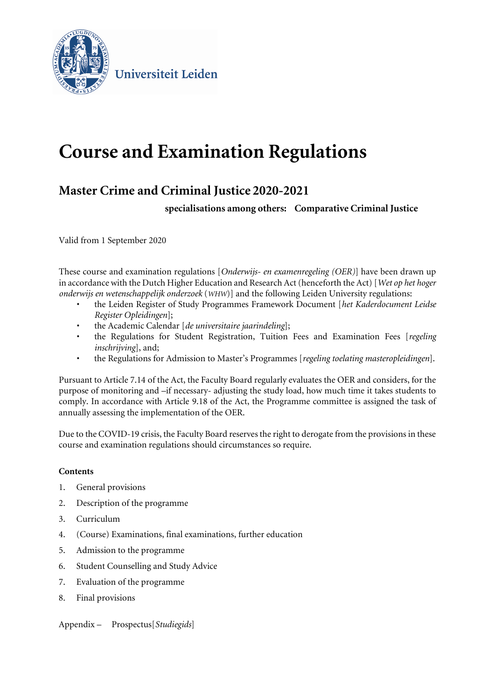

Universiteit Leiden

# **Course and Examination Regulations**

# **Master Crime and Criminal Justice 2020-2021**

**specialisations among others: Comparative Criminal Justice**

Valid from 1 September 2020

These course and examination regulations [*Onderwijs- en examenregeling (OER)*] have been drawn up in accordance with the Dutch Higher Education and Research Act (henceforth the Act) [*Wet op het hoger onderwijs en wetenschappelijk onderzoek* (*WHW*)] and the following Leiden University regulations:

- the Leiden Register of Study Programmes Framework Document [*het Kaderdocument Leidse Register Opleidingen*];
- the Academic Calendar [*de universitaire jaarindeling*];
- the Regulations for Student Registration, Tuition Fees and Examination Fees [*regeling inschrijving*], and;
- the Regulations for Admission to Master's Programmes [*regeling toelating masteropleidingen*].

Pursuant to Article 7.14 of the Act, the Faculty Board regularly evaluates the OER and considers, for the purpose of monitoring and –if necessary- adjusting the study load, how much time it takes students to comply. In accordance with Article 9.18 of the Act, the Programme committee is assigned the task of annually assessing the implementation of the OER.

Due to the COVID-19 crisis, the Faculty Board reserves the right to derogate from the provisions in these course and examination regulations should circumstances so require.

#### **Contents**

- 1. General provisions
- 2. Description of the programme
- 3. Curriculum
- 4. (Course) Examinations, final examinations, further education
- 5. Admission to the programme
- 6. Student Counselling and Study Advice
- 7. Evaluation of the programme
- 8. Final provisions

Appendix – Prospectus[*Studiegids*]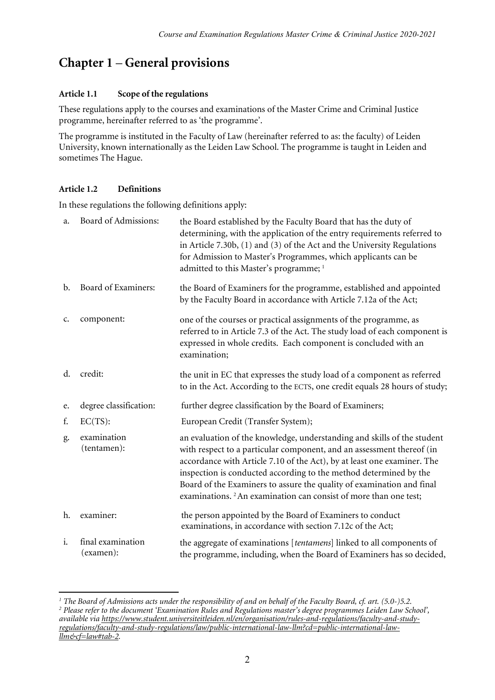# **Chapter 1** – **General provisions**

#### **Article 1.1 Scope of the regulations**

These regulations apply to the courses and examinations of the Master Crime and Criminal Justice programme, hereinafter referred to as 'the programme'.

The programme is instituted in the Faculty of Law (hereinafter referred to as: the faculty) of Leiden University, known internationally as the Leiden Law School. The programme is taught in Leiden and sometimes The Hague.

#### **Article 1.2 Definitions**

 $\overline{a}$ 

In these regulations the following definitions apply:

| a.             | Board of Admissions:           | the Board established by the Faculty Board that has the duty of<br>determining, with the application of the entry requirements referred to<br>in Article 7.30b, $(1)$ and $(3)$ of the Act and the University Regulations<br>for Admission to Master's Programmes, which applicants can be<br>admitted to this Master's programme; <sup>1</sup>                                                                                                           |
|----------------|--------------------------------|-----------------------------------------------------------------------------------------------------------------------------------------------------------------------------------------------------------------------------------------------------------------------------------------------------------------------------------------------------------------------------------------------------------------------------------------------------------|
| $\mathbf{b}$ . | Board of Examiners:            | the Board of Examiners for the programme, established and appointed<br>by the Faculty Board in accordance with Article 7.12a of the Act;                                                                                                                                                                                                                                                                                                                  |
| c.             | component:                     | one of the courses or practical assignments of the programme, as<br>referred to in Article 7.3 of the Act. The study load of each component is<br>expressed in whole credits. Each component is concluded with an<br>examination;                                                                                                                                                                                                                         |
| d.             | credit:                        | the unit in EC that expresses the study load of a component as referred<br>to in the Act. According to the ECTS, one credit equals 28 hours of study;                                                                                                                                                                                                                                                                                                     |
| e.             | degree classification:         | further degree classification by the Board of Examiners;                                                                                                                                                                                                                                                                                                                                                                                                  |
| f.             | $EC(TS)$ :                     | European Credit (Transfer System);                                                                                                                                                                                                                                                                                                                                                                                                                        |
| g.             | examination<br>(tentamen):     | an evaluation of the knowledge, understanding and skills of the student<br>with respect to a particular component, and an assessment thereof (in<br>accordance with Article 7.10 of the Act), by at least one examiner. The<br>inspection is conducted according to the method determined by the<br>Board of the Examiners to assure the quality of examination and final<br>examinations. <sup>2</sup> An examination can consist of more than one test; |
| h.             | examiner:                      | the person appointed by the Board of Examiners to conduct<br>examinations, in accordance with section 7.12c of the Act;                                                                                                                                                                                                                                                                                                                                   |
| i.             | final examination<br>(examen): | the aggregate of examinations [tentamens] linked to all components of<br>the programme, including, when the Board of Examiners has so decided,                                                                                                                                                                                                                                                                                                            |

<span id="page-1-1"></span><span id="page-1-0"></span>*<sup>1</sup> The Board of Admissions acts under the responsibility of and on behalf of the Faculty Board, cf. art. (5.0-)5.2. <sup>2</sup> Please refer to the document 'Examination Rules and Regulations master's degree programmes Leiden Law School', available via [https://www.student.universiteitleiden.nl/en/organisation/rules-and-regulations/faculty-and-study](https://www.student.universiteitleiden.nl/en/organisation/rules-and-regulations/faculty-and-study-regulations/faculty-and-study-regulations/law/public-international-law-llm?cd=public-international-law-llm&cf=law#tab-2)[regulations/faculty-and-study-regulations/law/public-international-law-llm?cd=public-international-law](https://www.student.universiteitleiden.nl/en/organisation/rules-and-regulations/faculty-and-study-regulations/faculty-and-study-regulations/law/public-international-law-llm?cd=public-international-law-llm&cf=law#tab-2)[llm&cf=law#tab-2.](https://www.student.universiteitleiden.nl/en/organisation/rules-and-regulations/faculty-and-study-regulations/faculty-and-study-regulations/law/public-international-law-llm?cd=public-international-law-llm&cf=law#tab-2)*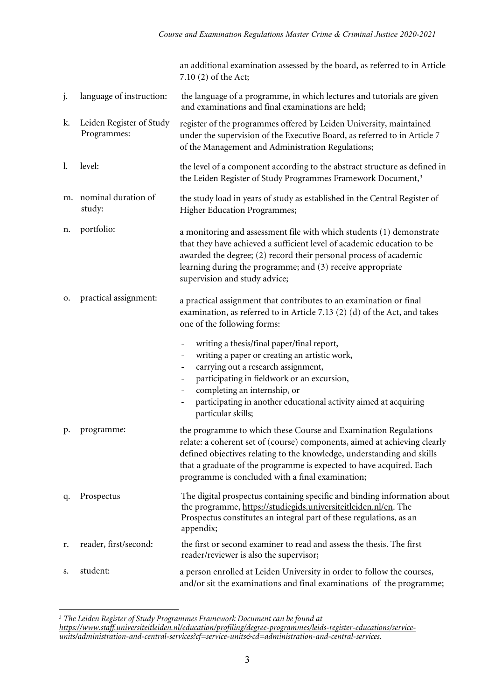an additional examination assessed by the board, as referred to in Article 7.10 (2) of the Act;

- j. language of instruction: the language of a programme, in which lectures and tutorials are given and examinations and final examinations are held;
- k. Leiden Register of Study Programmes: register of the programmes offered by Leiden University, maintained under the supervision of the Executive Board, as referred to in Article 7 of the Management and Administration Regulations;
- l. level: the level of a component according to the abstract structure as defined in the Leiden Register of Study Programmes Framework Document,<sup>[3](#page-2-0)</sup>
- m. nominal duration of study: the study load in years of study as established in the Central Register of Higher Education Programmes;
- n. portfolio: a monitoring and assessment file with which students (1) demonstrate that they have achieved a sufficient level of academic education to be awarded the degree; (2) record their personal process of academic learning during the programme; and (3) receive appropriate supervision and study advice;
- o. practical assignment: a practical assignment that contributes to an examination or final examination, as referred to in Article 7.13 (2) (d) of the Act, and takes one of the following forms:
	- writing a thesis/final paper/final report, writing a paper or creating an artistic work, - carrying out a research assignment,
		- participating in fieldwork or an excursion,
		- completing an internship, or
		- participating in another educational activity aimed at acquiring particular skills;
- p. programme: the programme to which these Course and Examination Regulations relate: a coherent set of (course) components, aimed at achieving clearly defined objectives relating to the knowledge, understanding and skills that a graduate of the programme is expected to have acquired. Each programme is concluded with a final examination;
- q. Prospectus The digital prospectus containing specific and binding information about the programme[, https://studiegids.universiteitleiden.nl/en.](https://studiegids.universiteitleiden.nl/en) The Prospectus constitutes an integral part of these regulations, as an appendix; r. reader, first/second: the first or second examiner to read and assess the thesis. The first reader/reviewer is also the supervisor;
- s. student: a person enrolled at Leiden University in order to follow the courses, and/or sit the examinations and final examinations of the programme;

<sup>1</sup> *<sup>3</sup> The Leiden Register of Study Programmes Framework Document can be found at*

<span id="page-2-0"></span>*[https://www.staff.universiteitleiden.nl/education/profiling/degree-programmes/leids-register-educations/service](https://www.staff.universiteitleiden.nl/education/profiling/degree-programmes/leids-register-educations/service-units/administration-and-central-services?cf=service-units&cd=administration-and-central-services)[units/administration-and-central-services?cf=service-units&cd=administration-and-central-services.](https://www.staff.universiteitleiden.nl/education/profiling/degree-programmes/leids-register-educations/service-units/administration-and-central-services?cf=service-units&cd=administration-and-central-services)*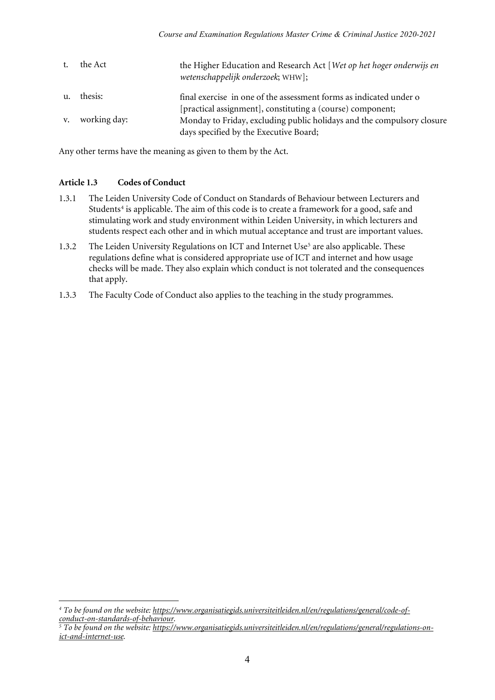|                | the Act         | the Higher Education and Research Act [Wet op het hoger onderwijs en<br>wetenschappelijk onderzoek; WHW]; |
|----------------|-----------------|-----------------------------------------------------------------------------------------------------------|
| $\mathbf{u}$ . | thesis:         | final exercise in one of the assessment forms as indicated under o                                        |
|                |                 | [practical assignment], constituting a (course) component;                                                |
|                | v. working day: | Monday to Friday, excluding public holidays and the compulsory closure                                    |
|                |                 | days specified by the Executive Board;                                                                    |

Any other terms have the meaning as given to them by the Act.

#### **Article 1.3 Codes of Conduct**

- 1.3.1 The Leiden University Code of Conduct on Standards of Behaviour between Lecturers and Students<sup>[4](#page-3-0)</sup> is applicable. The aim of this code is to create a framework for a good, safe and stimulating work and study environment within Leiden University, in which lecturers and students respect each other and in which mutual acceptance and trust are important values.
- 1.3.2 The Leiden University Regulations on ICT and Internet Use<sup>5</sup> are also applicable. These regulations define what is considered appropriate use of ICT and internet and how usage checks will be made. They also explain which conduct is not tolerated and the consequences that apply.
- 1.3.3 The Faculty Code of Conduct also applies to the teaching in the study programmes.

<sup>1</sup> *<sup>4</sup> To be found on the website[: https://www.organisatiegids.universiteitleiden.nl/en/regulations/general/code-of](https://www.organisatiegids.universiteitleiden.nl/en/regulations/general/code-of-conduct-on-standards-of-behaviour)[conduct-on-standards-of-behaviour.](https://www.organisatiegids.universiteitleiden.nl/en/regulations/general/code-of-conduct-on-standards-of-behaviour)*

<span id="page-3-1"></span><span id="page-3-0"></span>*<sup>5</sup> To be found on the website[: https://www.organisatiegids.universiteitleiden.nl/en/regulations/general/regulations-on](https://www.organisatiegids.universiteitleiden.nl/en/regulations/general/regulations-on-ict-and-internet-use)[ict-and-internet-use.](https://www.organisatiegids.universiteitleiden.nl/en/regulations/general/regulations-on-ict-and-internet-use)*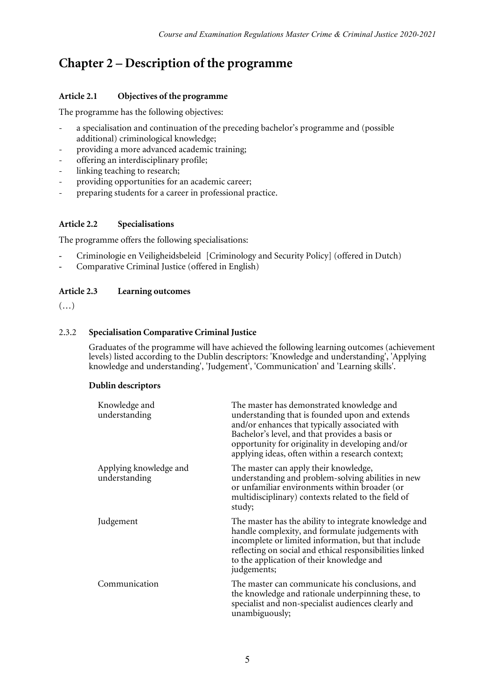# **Chapter 2 – Description of the programme**

### **Article 2.1 Objectives of the programme**

The programme has the following objectives:

- a specialisation and continuation of the preceding bachelor's programme and (possible additional) criminological knowledge;
- providing a more advanced academic training;
- offering an interdisciplinary profile;
- linking teaching to research;
- providing opportunities for an academic career;
- preparing students for a career in professional practice.

#### **Article 2.2 Specialisations**

The programme offers the following specialisations:

- Criminologie en Veiligheidsbeleid [Criminology and Security Policy] (offered in Dutch)
- Comparative Criminal Justice (offered in English)

#### **Article 2.3 Learning outcomes**

 $(\ldots)$ 

#### 2.3.2 **Specialisation Comparative Criminal Justice**

Graduates of the programme will have achieved the following learning outcomes (achievement levels) listed according to the Dublin descriptors: 'Knowledge and understanding', 'Applying knowledge and understanding', 'Judgement', 'Communication' and 'Learning skills'.

#### **Dublin descriptors**

| Knowledge and<br>understanding          | The master has demonstrated knowledge and<br>understanding that is founded upon and extends<br>and/or enhances that typically associated with<br>Bachelor's level, and that provides a basis or<br>opportunity for originality in developing and/or<br>applying ideas, often within a research context; |
|-----------------------------------------|---------------------------------------------------------------------------------------------------------------------------------------------------------------------------------------------------------------------------------------------------------------------------------------------------------|
| Applying knowledge and<br>understanding | The master can apply their knowledge,<br>understanding and problem-solving abilities in new<br>or unfamiliar environments within broader (or<br>multidisciplinary) contexts related to the field of<br>study;                                                                                           |
| Judgement                               | The master has the ability to integrate knowledge and<br>handle complexity, and formulate judgements with<br>incomplete or limited information, but that include<br>reflecting on social and ethical responsibilities linked<br>to the application of their knowledge and<br>judgements;                |
| Communication                           | The master can communicate his conclusions, and<br>the knowledge and rationale underpinning these, to<br>specialist and non-specialist audiences clearly and<br>unambiguously;                                                                                                                          |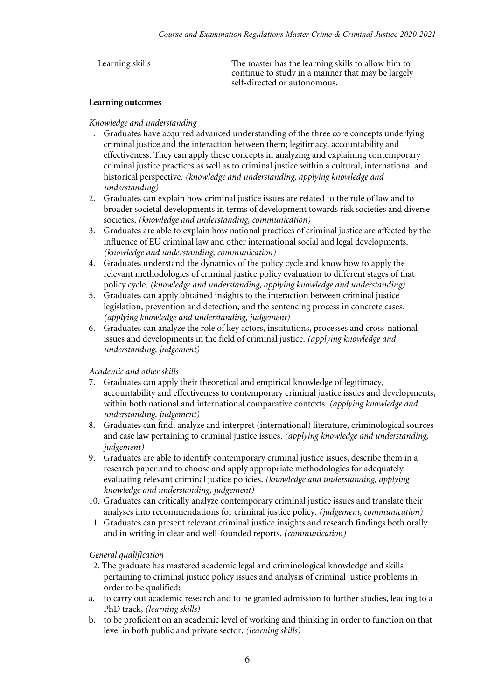| Learning skills | The master has the learning skills to allow him to<br>continue to study in a manner that may be largely<br>self-directed or autonomous. |
|-----------------|-----------------------------------------------------------------------------------------------------------------------------------------|
|                 |                                                                                                                                         |

#### **Learning outcomes**

#### *Knowledge and understanding*

- 1. Graduates have acquired advanced understanding of the three core concepts underlying criminal justice and the interaction between them; legitimacy, accountability and effectiveness. They can apply these concepts in analyzing and explaining contemporary criminal justice practices as well as to criminal justice within a cultural, international and historical perspective. *(knowledge and understanding, applying knowledge and understanding)*
- 2. Graduates can explain how criminal justice issues are related to the rule of law and to broader societal developments in terms of development towards risk societies and diverse societies. *(knowledge and understanding, communication)*
- 3. Graduates are able to explain how national practices of criminal justice are affected by the influence of EU criminal law and other international social and legal developments. *(knowledge and understanding, communication)*
- 4. Graduates understand the dynamics of the policy cycle and know how to apply the relevant methodologies of criminal justice policy evaluation to different stages of that policy cycle. *(knowledge and understanding, applying knowledge and understanding)*
- 5. Graduates can apply obtained insights to the interaction between criminal justice legislation, prevention and detection, and the sentencing process in concrete cases. *(applying knowledge and understanding, judgement)*
- 6. Graduates can analyze the role of key actors, institutions, processes and cross-national issues and developments in the field of criminal justice. *(applying knowledge and understanding, judgement)*

#### *Academic and other skills*

- 7. Graduates can apply their theoretical and empirical knowledge of legitimacy, accountability and effectiveness to contemporary criminal justice issues and developments, within both national and international comparative contexts. *(applying knowledge and understanding, judgement)*
- 8. Graduates can find, analyze and interpret (international) literature, criminological sources and case law pertaining to criminal justice issues. *(applying knowledge and understanding, judgement)*
- 9. Graduates are able to identify contemporary criminal justice issues, describe them in a research paper and to choose and apply appropriate methodologies for adequately evaluating relevant criminal justice policies. *(knowledge and understanding, applying knowledge and understanding, judgement)*
- 10. Graduates can critically analyze contemporary criminal justice issues and translate their analyses into recommendations for criminal justice policy. *(judgement, communication)*
- 11. Graduates can present relevant criminal justice insights and research findings both orally and in writing in clear and well-founded reports. *(communication)*

#### *General qualification*

- 12. The graduate has mastered academic legal and criminological knowledge and skills pertaining to criminal justice policy issues and analysis of criminal justice problems in order to be qualified:
- a. to carry out academic research and to be granted admission to further studies, leading to a PhD track, *(learning skills)*
- b. to be proficient on an academic level of working and thinking in order to function on that level in both public and private sector. *(learning skills)*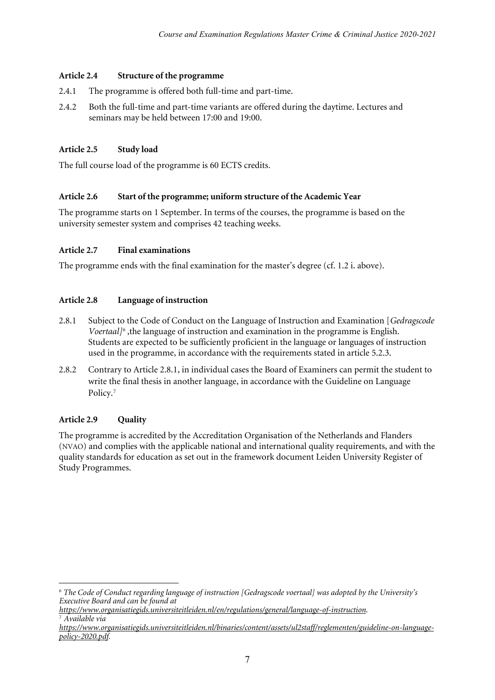#### **Article 2.4 Structure of the programme**

- 2.4.1 The programme is offered both full-time and part-time.
- 2.4.2 Both the full-time and part-time variants are offered during the daytime. Lectures and seminars may be held between 17:00 and 19:00.

#### **Article 2.5 Study load**

The full course load of the programme is 60 ECTS credits*.*

#### **Article 2.6 Start of the programme; uniform structure of the Academic Year**

The programme starts on 1 September. In terms of the courses, the programme is based on the university semester system and comprises 42 teaching weeks.

#### **Article 2.7 Final examinations**

The programme ends with the final examination for the master's degree (cf. 1.2 i. above).

#### **Article 2.8 Language of instruction**

- 2.8.1 Subject to the Code of Conduct on the Language of Instruction and Examination [*Gedragscode Voertaal[\]6](#page-6-0)* ,the language of instruction and examination in the programme is English. Students are expected to be sufficiently proficient in the language or languages of instruction used in the programme, in accordance with the requirements stated in article 5.2.3.
- 2.8.2 Contrary to Article 2.8.1, in individual cases the Board of Examiners can permit the student to write the final thesis in another language, in accordance with the Guideline on Language Policy.<sup>[7](#page-6-1)</sup>

#### **Article 2.9 Quality**

1

The programme is accredited by the Accreditation Organisation of the Netherlands and Flanders (NVAO) and complies with the applicable national and international quality requirements, and with the quality standards for education as set out in the framework document Leiden University Register of Study Programmes.

<span id="page-6-0"></span>*<sup>6</sup> The Code of Conduct regarding language of instruction [Gedragscode voertaal] was adopted by the University's Executive Board and can be found at* 

*[https://www.organisatiegids.universiteitleiden.nl/en/regulations/general/language-of-instruction.](https://www.organisatiegids.universiteitleiden.nl/en/regulations/general/language-of-instruction)* <sup>7</sup> *Available via* 

<span id="page-6-1"></span>*[https://www.organisatiegids.universiteitleiden.nl/binaries/content/assets/ul2staff/reglementen/guideline-on-language](https://www.organisatiegids.universiteitleiden.nl/binaries/content/assets/ul2staff/reglementen/guideline-on-language-policy-2020.pdf)[policy-2020.pdf.](https://www.organisatiegids.universiteitleiden.nl/binaries/content/assets/ul2staff/reglementen/guideline-on-language-policy-2020.pdf)*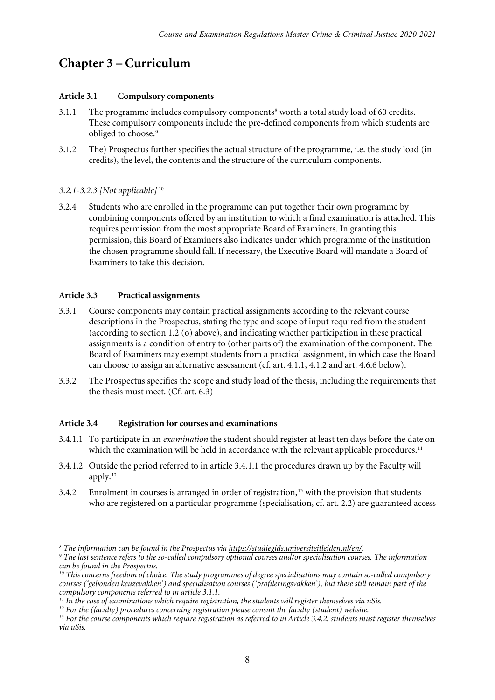# **Chapter 3 – Curriculum**

#### **Article 3.1 Compulsory components**

- 3.1.1 The programme includes compulsory components<sup>8</sup> worth a total study load of 60 credits. These compulsory components include the pre-defined components from which students are obliged to choose.<sup>[9](#page-7-1)</sup>
- 3.1.2 The) Prospectus further specifies the actual structure of the programme, i.e. the study load (in credits), the level, the contents and the structure of the curriculum components.

#### *3.2.1-3.2.3 [Not applicable]* [10](#page-7-2)

3.2.4 Students who are enrolled in the programme can put together their own programme by combining components offered by an institution to which a final examination is attached. This requires permission from the most appropriate Board of Examiners. In granting this permission, this Board of Examiners also indicates under which programme of the institution the chosen programme should fall. If necessary, the Executive Board will mandate a Board of Examiners to take this decision.

#### **Article 3.3 Practical assignments**

- 3.3.1 Course components may contain practical assignments according to the relevant course descriptions in the Prospectus, stating the type and scope of input required from the student (according to section 1.2 (o) above), and indicating whether participation in these practical assignments is a condition of entry to (other parts of) the examination of the component. The Board of Examiners may exempt students from a practical assignment, in which case the Board can choose to assign an alternative assessment (cf. art. 4.1.1, 4.1.2 and art. 4.6.6 below).
- 3.3.2 The Prospectus specifies the scope and study load of the thesis, including the requirements that the thesis must meet. (Cf. art. 6.3)

#### **Article 3.4 Registration for courses and examinations**

- 3.4.1.1 To participate in an *examination* the student should register at least ten days before the date on which the examination will be held in accordance with the relevant applicable procedures.<sup>11</sup>
- 3.4.1.2 Outside the period referred to in article 3.4.1.1 the procedures drawn up by the Faculty will apply.[12](#page-7-4)
- 3.4.2 Enrolment in courses is arranged in order of registration,<sup>[13](#page-7-5)</sup> with the provision that students who are registered on a particular programme (specialisation, cf. art. 2.2) are guaranteed access

 $\overline{a}$ 

<span id="page-7-1"></span><span id="page-7-0"></span><sup>&</sup>lt;sup>8</sup> The information can be found in the Prospectus via <u>https://studiegids.universiteitleiden.nl/en/</u>.<br><sup>9</sup> The last sentence refers to the so-called compulsory optional courses and/or specialisation courses. The informatio *can be found in the Prospectus.*

<span id="page-7-2"></span>*<sup>10</sup> This concerns freedom of choice. The study programmes of degree specialisations may contain so-called compulsory courses ('gebonden keuzevakken') and specialisation courses ('profileringsvakken'), but these still remain part of the compulsory components referred to in article 3.1.1.*

<span id="page-7-4"></span><span id="page-7-3"></span>*<sup>11</sup> In the case of examinations which require registration, the students will register themselves via uSis.*

<span id="page-7-5"></span> $^{13}$  For the course components which require registration as referred to in Article 3.4.2, students must register themselves *via uSis.*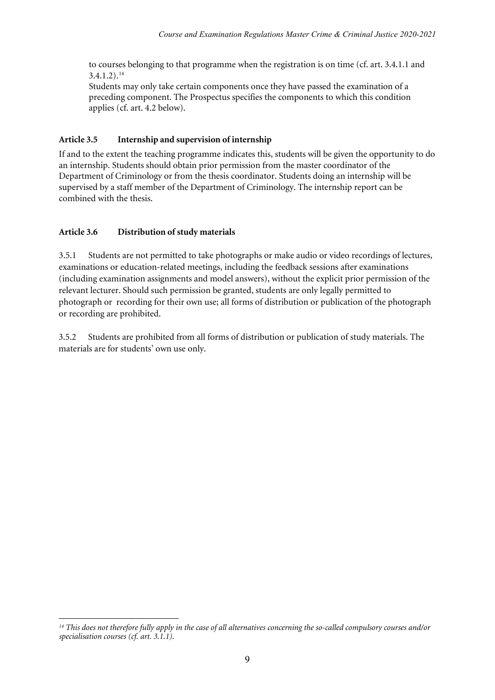to courses belonging to that programme when the registration is on time (cf. art. 3.4.1.1 and  $3.4.1.2$ ).<sup>[14](#page-8-0)</sup>

Students may only take certain components once they have passed the examination of a preceding component. The Prospectus specifies the components to which this condition applies (cf. art. 4.2 below).

#### **Article 3.5 Internship and supervision of internship**

If and to the extent the teaching programme indicates this, students will be given the opportunity to do an internship. Students should obtain prior permission from the master coordinator of the Department of Criminology or from the thesis coordinator. Students doing an internship will be supervised by a staff member of the Department of Criminology. The internship report can be combined with the thesis.

#### **Article** 3.6 **Distribution of study materials**

3.5.1 Students are not permitted to take photographs or make audio or video recordings of lectures, examinations or education-related meetings, including the feedback sessions after examinations (including examination assignments and model answers), without the explicit prior permission of the relevant lecturer. Should such permission be granted, students are only legally permitted to photograph or recording for their own use; all forms of distribution or publication of the photograph or recording are prohibited.

3.5.2 Students are prohibited from all forms of distribution or publication of study materials. The materials are for students' own use only.

<span id="page-8-0"></span><sup>1</sup> *<sup>14</sup> This does not therefore fully apply in the case of all alternatives concerning the so-called compulsory courses and/or specialisation courses (cf. art. 3.1.1).*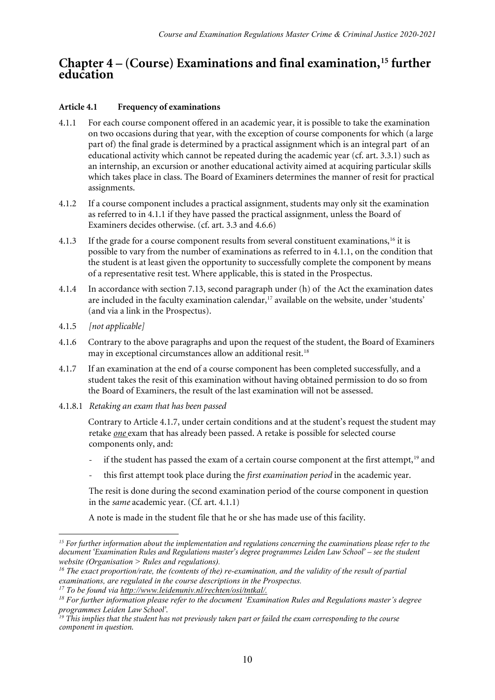### **Chapter 4 – (Course) Examinations and final examination,[15](#page-9-0) further education**

#### **Article 4.1 Frequency of examinations**

- 4.1.1 For each course component offered in an academic year, it is possible to take the examination on two occasions during that year, with the exception of course components for which (a large part of) the final grade is determined by a practical assignment which is an integral part of an educational activity which cannot be repeated during the academic year (cf. art. 3.3.1) such as an internship, an excursion or another educational activity aimed at acquiring particular skills which takes place in class. The Board of Examiners determines the manner of resit for practical assignments.
- 4.1.2 If a course component includes a practical assignment, students may only sit the examination as referred to in 4.1.1 if they have passed the practical assignment, unless the Board of Examiners decides otherwise. (cf. art. 3.3 and 4.6.6)
- 4.1.3 If the grade for a course component results from several constituent examinations,<sup>[16](#page-9-1)</sup> it is possible to vary from the number of examinations as referred to in 4.1.1, on the condition that the student is at least given the opportunity to successfully complete the component by means of a representative resit test. Where applicable, this is stated in the Prospectus.
- 4.1.4 In accordance with section 7.13, second paragraph under (h) of the Act the examination dates are included in the faculty examination calendar,<sup>[17](#page-9-2)</sup> available on the website, under 'students' (and via a link in the Prospectus).
- 4.1.5 *[not applicable]*
- 4.1.6 Contrary to the above paragraphs and upon the request of the student, the Board of Examiners may in exceptional circumstances allow an additional resit.<sup>[18](#page-9-3)</sup>
- 4.1.7 If an examination at the end of a course component has been completed successfully, and a student takes the resit of this examination without having obtained permission to do so from the Board of Examiners, the result of the last examination will not be assessed.
- 4.1.8.1 *Retaking an exam that has been passed*

Contrary to Article 4.1.7, under certain conditions and at the student's request the student may retake *one* exam that has already been passed. A retake is possible for selected course components only, and:

- if the student has passed the exam of a certain course component at the first attempt,<sup>[19](#page-9-4)</sup> and
- this first attempt took place during the *first examination period* in the academic year.

The resit is done during the second examination period of the course component in question in the *same* academic year. (Cf. art. 4.1.1)

A note is made in the student file that he or she has made use of this facility.

<span id="page-9-0"></span> $\overline{a}$ *<sup>15</sup> For further information about the implementation and regulations concerning the examinations please refer to the document 'Examination Rules and Regulations master's degree programmes Leiden Law School' – see the student website (Organisation > Rules and regulations).* 

<span id="page-9-1"></span>*<sup>16</sup> The exact proportion/rate, the (contents of the) re-examination, and the validity of the result of partial examinations, are regulated in the course descriptions in the Prospectus.* 

*<sup>17</sup> To be found via [http://www.leidenuniv.nl/rechten/osi/tntkal/.](http://www.leidenuniv.nl/rechten/osi/tntkal/)*

<span id="page-9-3"></span><span id="page-9-2"></span>*<sup>18</sup> For further information please refer to the document 'Examination Rules and Regulations master's degree programmes Leiden Law School'.*

<span id="page-9-4"></span>*<sup>19</sup> This implies that the student has not previously taken part or failed the exam corresponding to the course component in question.*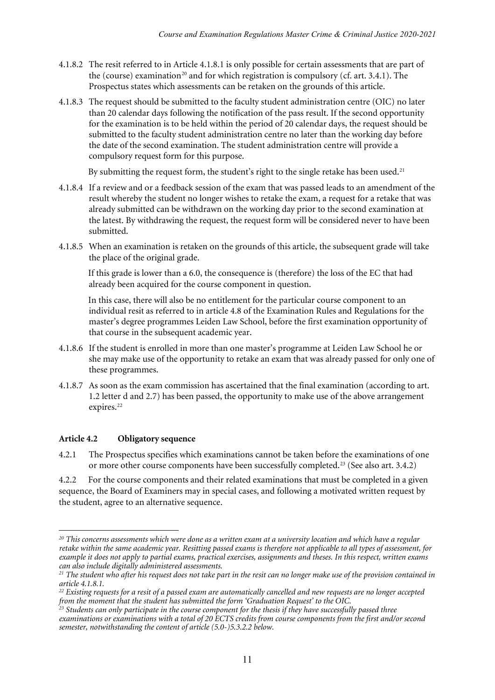- 4.1.8.2 The resit referred to in Article 4.1.8.1 is only possible for certain assessments that are part of the (course) examination<sup>[20](#page-10-0)</sup> and for which registration is compulsory (cf. art. 3.4.1). The Prospectus states which assessments can be retaken on the grounds of this article.
- 4.1.8.3 The request should be submitted to the faculty student administration centre (OIC) no later than 20 calendar days following the notification of the pass result. If the second opportunity for the examination is to be held within the period of 20 calendar days, the request should be submitted to the faculty student administration centre no later than the working day before the date of the second examination. The student administration centre will provide a compulsory request form for this purpose.

By submitting the request form, the student's right to the single retake has been used.<sup>[21](#page-10-1)</sup>

- 4.1.8.4 If a review and or a feedback session of the exam that was passed leads to an amendment of the result whereby the student no longer wishes to retake the exam, a request for a retake that was already submitted can be withdrawn on the working day prior to the second examination at the latest. By withdrawing the request, the request form will be considered never to have been submitted.
- 4.1.8.5 When an examination is retaken on the grounds of this article, the subsequent grade will take the place of the original grade.

If this grade is lower than a 6.0, the consequence is (therefore) the loss of the EC that had already been acquired for the course component in question.

In this case, there will also be no entitlement for the particular course component to an individual resit as referred to in article 4.8 of the Examination Rules and Regulations for the master's degree programmes Leiden Law School, before the first examination opportunity of that course in the subsequent academic year.

- 4.1.8.6 If the student is enrolled in more than one master's programme at Leiden Law School he or she may make use of the opportunity to retake an exam that was already passed for only one of these programmes.
- 4.1.8.7 As soon as the exam commission has ascertained that the final examination (according to art. 1.2 letter d and 2.7) has been passed, the opportunity to make use of the above arrangement expires.<sup>[22](#page-10-2)</sup>

#### **Article 4.2 Obligatory sequence**

1

4.2.1 The Prospectus specifies which examinations cannot be taken before the examinations of one or more other course components have been successfully completed.<sup>[23](#page-10-3)</sup> (See also art. 3.4.2)

4.2.2 For the course components and their related examinations that must be completed in a given sequence, the Board of Examiners may in special cases, and following a motivated written request by the student, agree to an alternative sequence.

<span id="page-10-0"></span>*<sup>20</sup> This concerns assessments which were done as a written exam at a university location and which have a regular retake within the same academic year. Resitting passed exams is therefore not applicable to all types of assessment, for example it does not apply to partial exams, practical exercises, assignments and theses. In this respect, written exams can also include digitally administered assessments.*

<span id="page-10-1"></span>*<sup>21</sup> The student who after his request does not take part in the resit can no longer make use of the provision contained in article 4.1.8.1.*

<span id="page-10-2"></span>*<sup>22</sup> Existing requests for a resit of a passed exam are automatically cancelled and new requests are no longer accepted from the moment that the student has submitted the form 'Graduation Request' to the OIC.*

<span id="page-10-3"></span>*<sup>23</sup> Students can only participate in the course component for the thesis if they have successfully passed three examinations or examinations with a total of 20 ECTS credits from course components from the first and/or second semester, notwithstanding the content of article (5.0-)5.3.2.2 below.*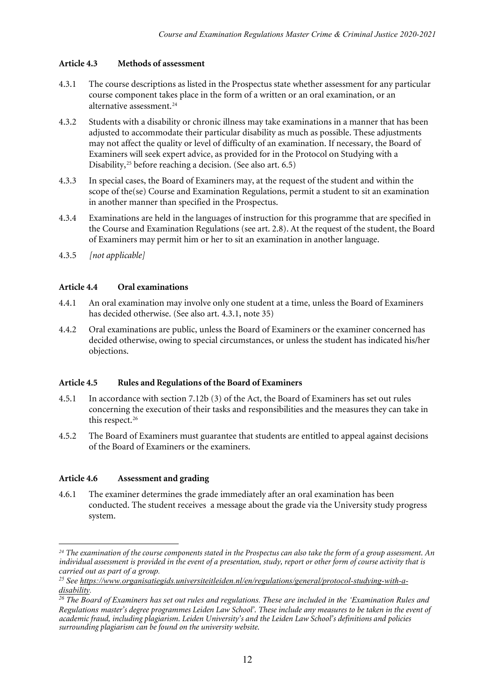#### **Article 4.3 Methods of assessment**

- 4.3.1 The course descriptions as listed in the Prospectus state whether assessment for any particular course component takes place in the form of a written or an oral examination, or an alternative assessment.<sup>[24](#page-11-0)</sup>
- 4.3.2 Students with a disability or chronic illness may take examinations in a manner that has been adjusted to accommodate their particular disability as much as possible. These adjustments may not affect the quality or level of difficulty of an examination. If necessary, the Board of Examiners will seek expert advice, as provided for in the Protocol on Studying with a Disability,<sup>[25](#page-11-1)</sup> before reaching a decision. (See also art.  $6.5$ )
- 4.3.3 In special cases, the Board of Examiners may, at the request of the student and within the scope of the(se) Course and Examination Regulations, permit a student to sit an examination in another manner than specified in the Prospectus.
- 4.3.4 Examinations are held in the languages of instruction for this programme that are specified in the Course and Examination Regulations (see art. 2.8). At the request of the student, the Board of Examiners may permit him or her to sit an examination in another language.
- 4.3.5 *[not applicable]*

#### **Article 4.4 Oral examinations**

- 4.4.1 An oral examination may involve only one student at a time, unless the Board of Examiners has decided otherwise. (See also art. 4.3.1, note 35)
- 4.4.2 Oral examinations are public, unless the Board of Examiners or the examiner concerned has decided otherwise, owing to special circumstances, or unless the student has indicated his/her objections.

#### **Article 4.5 Rules and Regulations of the Board of Examiners**

- 4.5.1 In accordance with section 7.12b (3) of the Act, the Board of Examiners has set out rules concerning the execution of their tasks and responsibilities and the measures they can take in this respect.<sup>[26](#page-11-2)</sup>
- 4.5.2 The Board of Examiners must guarantee that students are entitled to appeal against decisions of the Board of Examiners or the examiners.

#### **Article 4.6 Assessment and grading**

4.6.1 The examiner determines the grade immediately after an oral examination has been conducted. The student receives a message about the grade via the University study progress system.

<span id="page-11-0"></span> $\overline{a}$ *<sup>24</sup> The examination of the course components stated in the Prospectus can also take the form of a group assessment. An individual assessment is provided in the event of a presentation, study, report or other form of course activity that is carried out as part of a group.* 

<span id="page-11-1"></span>*<sup>25</sup> See [https://www.organisatiegids.universiteitleiden.nl/en/regulations/general/protocol-studying-with-a-](https://www.organisatiegids.universiteitleiden.nl/en/regulations/general/protocol-studying-with-a-disability)*

<span id="page-11-2"></span>*[disability.](https://www.organisatiegids.universiteitleiden.nl/en/regulations/general/protocol-studying-with-a-disability) 26 The Board of Examiners has set out rules and regulations. These are included in the 'Examination Rules and Regulations master's degree programmes Leiden Law School'. These include any measures to be taken in the event of academic fraud, including plagiarism. Leiden University's and the Leiden Law School's definitions and policies surrounding plagiarism can be found on the university website.*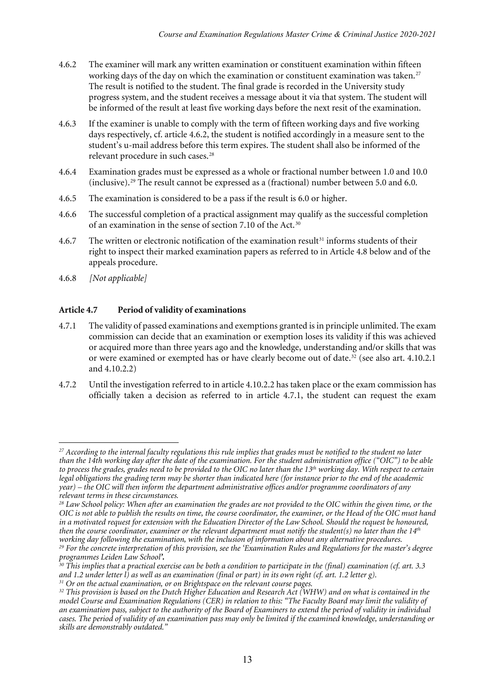- 4.6.2 The examiner will mark any written examination or constituent examination within fifteen working days of the day on which the examination or constituent examination was taken.<sup>[27](#page-12-0)</sup> The result is notified to the student. The final grade is recorded in the University study progress system, and the student receives a message about it via that system. The student will be informed of the result at least five working days before the next resit of the examination.
- 4.6.3 If the examiner is unable to comply with the term of fifteen working days and five working days respectively, cf. article 4.6.2, the student is notified accordingly in a measure sent to the student's u-mail address before this term expires. The student shall also be informed of the relevant procedure in such cases.[28](#page-12-1)
- 4.6.4 Examination grades must be expressed as a whole or fractional number between 1.0 and 10.0 (inclusive).[29](#page-12-2) The result cannot be expressed as a (fractional) number between 5.0 and 6.0.
- 4.6.5 The examination is considered to be a pass if the result is 6.0 or higher.
- 4.6.6 The successful completion of a practical assignment may qualify as the successful completion of an examination in the sense of section 7.10 of the Act.[30](#page-12-3)
- 4.6.7 The written or electronic notification of the examination result<sup>[31](#page-12-4)</sup> informs students of their right to inspect their marked examination papers as referred to in Article 4.8 below and of the appeals procedure.
- 4.6.8 *[Not applicable]*

#### **Article 4.7 Period of validity of examinations**

- 4.7.1 The validity of passed examinations and exemptions granted is in principle unlimited. The exam commission can decide that an examination or exemption loses its validity if this was achieved or acquired more than three years ago and the knowledge, understanding and/or skills that was or were examined or exempted has or have clearly become out of date.<sup>[32](#page-12-5)</sup> (see also art. 4.10.2.1 and 4.10.2.2)
- 4.7.2 Until the investigation referred to in article 4.10.2.2 has taken place or the exam commission has officially taken a decision as referred to in article 4.7.1, the student can request the exam

<span id="page-12-0"></span><sup>1</sup> *<sup>27</sup> According to the internal faculty regulations this rule implies that grades must be notified to the student no later than the 14th working day after the date of the examination. For the student administration office ("OIC") to be able to process the grades, grades need to be provided to the OIC no later than the 13th working day. With respect to certain legal obligations the grading term may be shorter than indicated here (for instance prior to the end of the academic year) – the OIC will then inform the department administrative offices and/or programme coordinators of any relevant terms in these circumstances.* 

<span id="page-12-1"></span>*<sup>28</sup> Law School policy: When after an examination the grades are not provided to the OIC within the given time, or the OIC is not able to publish the results on time, the course coordinator, the examiner, or the Head of the OIC must hand in a motivated request for extension with the Education Director of the Law School. Should the request be honoured, then the course coordinator, examiner or the relevant department must notify the student(s) no later than the 14<sup>th</sup><br>working day following the examination, with the inclusion of information about any alternative procedure* <sup>29</sup> For the concrete interpretation of this provision, see the 'Examination Rules and Regulations for the master's degree *programmes Leiden Law School'.*

<span id="page-12-3"></span><span id="page-12-2"></span>*<sup>30</sup> This implies that a practical exercise can be both a condition to participate in the (final) examination (cf. art. 3.3 and 1.2 under letter l) as well as an examination (final or part) in its own right (cf. art. 1.2 letter g). <sup>31</sup> Or on the actual examination, or on Brightspace on the relevant course pages.*

<span id="page-12-5"></span><span id="page-12-4"></span>*<sup>32</sup> This provision is based on the Dutch Higher Education and Research Act (WHW) and on what is contained in the model Course and Examination Regulations (CER) in relation to this: "The Faculty Board may limit the validity of an examination pass, subject to the authority of the Board of Examiners to extend the period of validity in individual cases. The period of validity of an examination pass may only be limited if the examined knowledge, understanding or skills are demonstrably outdated."*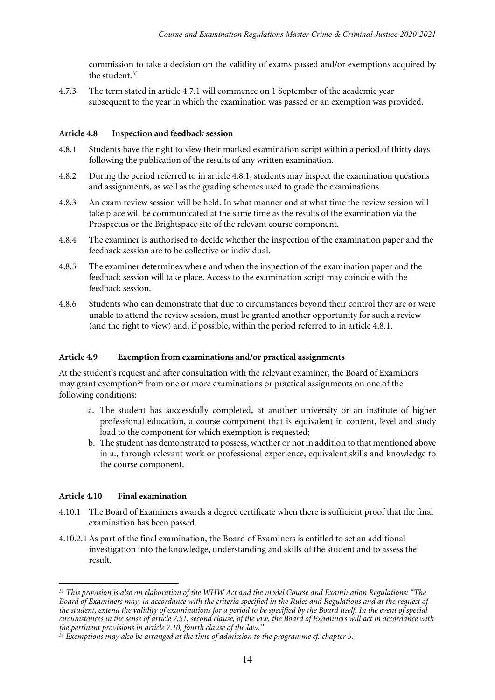commission to take a decision on the validity of exams passed and/or exemptions acquired by the student.<sup>33</sup>

4.7.3 The term stated in article 4.7.1 will commence on 1 September of the academic year subsequent to the year in which the examination was passed or an exemption was provided.

#### **Article 4.8 Inspection and feedback session**

- 4.8.1 Students have the right to view their marked examination script within a period of thirty days following the publication of the results of any written examination.
- 4.8.2 During the period referred to in article 4.8.1, students may inspect the examination questions and assignments, as well as the grading schemes used to grade the examinations.
- 4.8.3 An exam review session will be held. In what manner and at what time the review session will take place will be communicated at the same time as the results of the examination via the Prospectus or the Brightspace site of the relevant course component.
- 4.8.4 The examiner is authorised to decide whether the inspection of the examination paper and the feedback session are to be collective or individual.
- 4.8.5 The examiner determines where and when the inspection of the examination paper and the feedback session will take place. Access to the examination script may coincide with the feedback session.
- 4.8.6 Students who can demonstrate that due to circumstances beyond their control they are or were unable to attend the review session, must be granted another opportunity for such a review (and the right to view) and, if possible, within the period referred to in article 4.8.1.

#### **Article 4.9 Exemption from examinations and/or practical assignments**

At the student's request and after consultation with the relevant examiner, the Board of Examiners may grant exemption<sup>[34](#page-13-1)</sup> from one or more examinations or practical assignments on one of the following conditions:

- a. The student has successfully completed, at another university or an institute of higher professional education, a course component that is equivalent in content, level and study load to the component for which exemption is requested;
- b. The student has demonstrated to possess, whether or not in addition to that mentioned above in a., through relevant work or professional experience, equivalent skills and knowledge to the course component.

#### **Article 4.10 Final examination**

 $\overline{a}$ 

- 4.10.1 The Board of Examiners awards a degree certificate when there is sufficient proof that the final examination has been passed.
- 4.10.2.1As part of the final examination, the Board of Examiners is entitled to set an additional investigation into the knowledge, understanding and skills of the student and to assess the result.

<span id="page-13-0"></span>*<sup>33</sup> This provision is also an elaboration of the WHW Act and the model Course and Examination Regulations: "The Board of Examiners may, in accordance with the criteria specified in the Rules and Regulations and at the request of the student, extend the validity of examinations for a period to be specified by the Board itself. In the event of special circumstances in the sense of article 7.51, second clause, of the law, the Board of Examiners will act in accordance with the pertinent provisions in article 7.10, fourth clause of the law."*

<span id="page-13-1"></span>*<sup>34</sup> Exemptions may also be arranged at the time of admission to the programme cf. chapter 5.*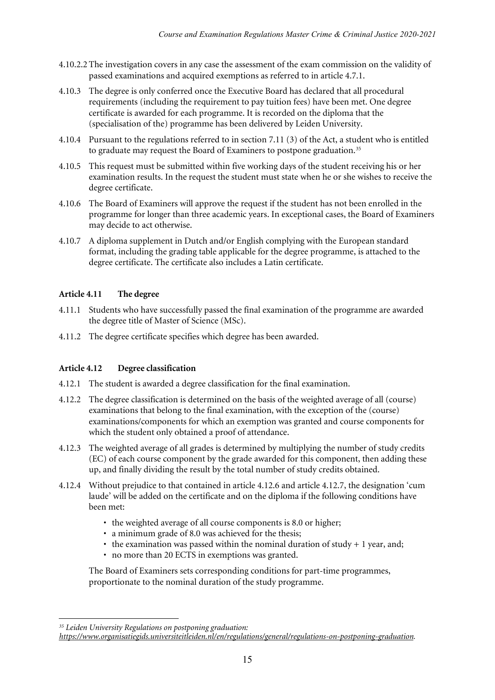- 4.10.2.2 The investigation covers in any case the assessment of the exam commission on the validity of passed examinations and acquired exemptions as referred to in article 4.7.1.
- 4.10.3 The degree is only conferred once the Executive Board has declared that all procedural requirements (including the requirement to pay tuition fees) have been met. One degree certificate is awarded for each programme. It is recorded on the diploma that the (specialisation of the) programme has been delivered by Leiden University.
- 4.10.4 Pursuant to the regulations referred to in section 7.11 (3) of the Act, a student who is entitled to graduate may request the Board of Examiners to postpone graduation.<sup>[35](#page-14-0)</sup>
- 4.10.5 This request must be submitted within five working days of the student receiving his or her examination results. In the request the student must state when he or she wishes to receive the degree certificate.
- 4.10.6 The Board of Examiners will approve the request if the student has not been enrolled in the programme for longer than three academic years. In exceptional cases, the Board of Examiners may decide to act otherwise.
- 4.10.7 A diploma supplement in Dutch and/or English complying with the European standard format, including the grading table applicable for the degree programme, is attached to the degree certificate. The certificate also includes a Latin certificate.

#### **Article 4.11 The degree**

- 4.11.1 Students who have successfully passed the final examination of the programme are awarded the degree title of Master of Science (MSc).
- 4.11.2 The degree certificate specifies which degree has been awarded.

### **Article 4.12 Degree classification**

- 4.12.1 The student is awarded a degree classification for the final examination.
- 4.12.2 The degree classification is determined on the basis of the weighted average of all (course) examinations that belong to the final examination, with the exception of the (course) examinations/components for which an exemption was granted and course components for which the student only obtained a proof of attendance.
- 4.12.3 The weighted average of all grades is determined by multiplying the number of study credits (EC) of each course component by the grade awarded for this component, then adding these up, and finally dividing the result by the total number of study credits obtained.
- 4.12.4 Without prejudice to that contained in article 4.12.6 and article 4.12.7, the designation 'cum laude' will be added on the certificate and on the diploma if the following conditions have been met:
	- the weighted average of all course components is 8.0 or higher;
	- a minimum grade of 8.0 was achieved for the thesis;
	- the examination was passed within the nominal duration of study  $+1$  year, and;
	- no more than 20 ECTS in exemptions was granted.

The Board of Examiners sets corresponding conditions for part-time programmes, proportionate to the nominal duration of the study programme.

<sup>1</sup> *<sup>35</sup> Leiden University Regulations on postponing graduation:* 

<span id="page-14-0"></span>*[https://www.organisatiegids.universiteitleiden.nl/en/regulations/general/regulations-on-postponing-graduation.](https://www.organisatiegids.universiteitleiden.nl/en/regulations/general/regulations-on-postponing-graduation)*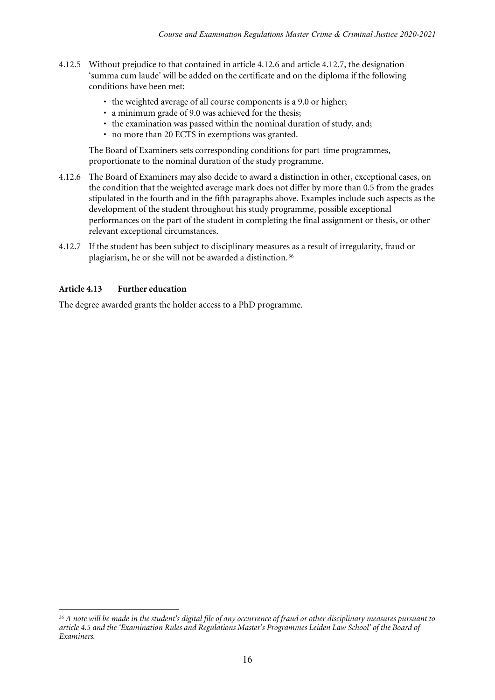- 4.12.5 Without prejudice to that contained in article 4.12.6 and article 4.12.7, the designation 'summa cum laude' will be added on the certificate and on the diploma if the following conditions have been met:
	- the weighted average of all course components is a 9.0 or higher;
	- a minimum grade of 9.0 was achieved for the thesis;
	- the examination was passed within the nominal duration of study, and;
	- no more than 20 ECTS in exemptions was granted.

The Board of Examiners sets corresponding conditions for part-time programmes, proportionate to the nominal duration of the study programme.

- 4.12.6 The Board of Examiners may also decide to award a distinction in other, exceptional cases, on the condition that the weighted average mark does not differ by more than 0.5 from the grades stipulated in the fourth and in the fifth paragraphs above. Examples include such aspects as the development of the student throughout his study programme, possible exceptional performances on the part of the student in completing the final assignment or thesis, or other relevant exceptional circumstances.
- 4.12.7 If the student has been subject to disciplinary measures as a result of irregularity, fraud or plagiarism, he or she will not be awarded a distinction.<sup>[36](#page-15-0)</sup>

#### **Article 4.13 Further education**

The degree awarded grants the holder access to a PhD programme.

<span id="page-15-0"></span><sup>1</sup> *<sup>36</sup> A note will be made in the student's digital file of any occurrence of fraud or other disciplinary measures pursuant to article 4.5 and the 'Examination Rules and Regulations Master's Programmes Leiden Law School' of the Board of Examiners.*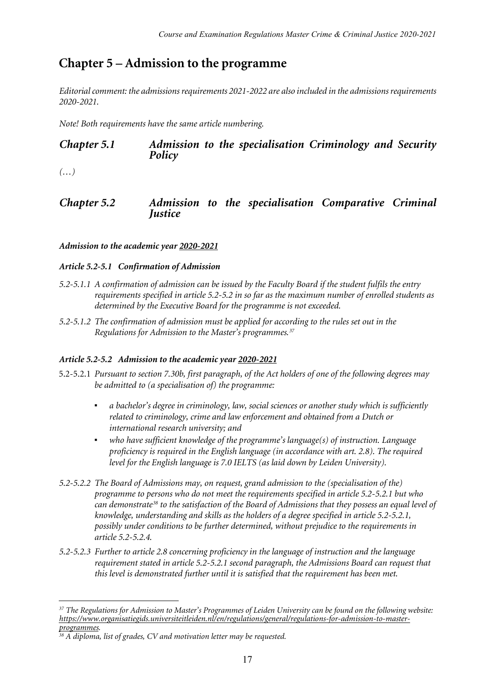# **Chapter 5 – Admission to the programme**

*Editorial comment: the admissions requirements 2021-2022 are also included in the admissions requirements 2020-2021.*

*Note! Both requirements have the same article numbering.*

### *Chapter 5.1 Admission to the specialisation Criminology and Security Policy*

*(…)*

*Chapter 5.2 Admission to the specialisation Comparative Criminal Justice*

#### *Admission to the academic year 2020-2021*

#### *Article 5.2-5.1 Confirmation of Admission*

- *5.2-5.1.1 A confirmation of admission can be issued by the Faculty Board if the student fulfils the entry requirements specified in article 5.2-5.2 in so far as the maximum number of enrolled students as determined by the Executive Board for the programme is not exceeded.*
- *5.2-5.1.2 The confirmation of admission must be applied for according to the rules set out in the Regulations for Admission to the Master's programmes.[37](#page-16-0)*

#### *Article 5.2-5.2 Admission to the academic year 2020-2021*

- 5.2-5.2.1 *Pursuant to section 7.30b, first paragraph, of the Act holders of one of the following degrees may be admitted to (a specialisation of) the programme:*
	- *▪ a bachelor's degree in criminology, law, social sciences or another study which is sufficiently related to criminology, crime and law enforcement and obtained from a Dutch or international research university; and*
	- *▪ who have sufficient knowledge of the programme's language(s) of instruction. Language proficiency is required in the English language (in accordance with art. 2.8). The required level for the English language is 7.0 IELTS (as laid down by Leiden University).*
- *5.2-5.2.2 The Board of Admissions may, on request, grand admission to the (specialisation of the) programme to persons who do not meet the requirements specified in article 5.2-5.2.1 but who can demonstrate[38](#page-16-1) to the satisfaction of the Board of Admissions that they possess an equal level of knowledge, understanding and skills as the holders of a degree specified in article 5.2-5.2.1, possibly under conditions to be further determined, without prejudice to the requirements in article 5.2-5.2.4.*
- *5.2-5.2.3 Further to article 2.8 concerning proficiency in the language of instruction and the language requirement stated in article 5.2-5.2.1 second paragraph, the Admissions Board can request that this level is demonstrated further until it is satisfied that the requirement has been met.*

<span id="page-16-0"></span><sup>1</sup> *<sup>37</sup> The Regulations for Admission to Master's Programmes of Leiden University can be found on the following website: [https://www.organisatiegids.universiteitleiden.nl/en/regulations/general/regulations-for-admission-to-master](https://www.organisatiegids.universiteitleiden.nl/en/regulations/general/regulations-for-admission-to-master-programmes)[programmes.](https://www.organisatiegids.universiteitleiden.nl/en/regulations/general/regulations-for-admission-to-master-programmes)*

<span id="page-16-1"></span>*<sup>38</sup> A diploma, list of grades, CV and motivation letter may be requested.*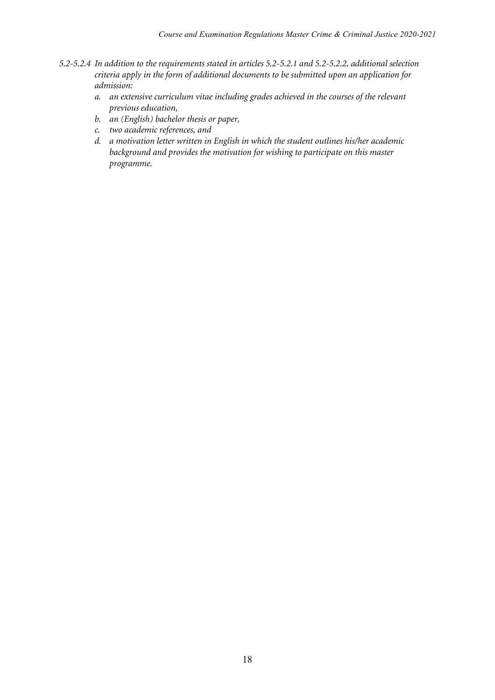- *5.2-5.2.4 In addition to the requirements stated in articles 5.2-5.2.1 and 5.2-5.2.2, additional selection criteria apply in the form of additional documents to be submitted upon an application for admission:*
	- *a. an extensive curriculum vitae including grades achieved in the courses of the relevant previous education,*
	- *b. an (English) bachelor thesis or paper,*
	- *c. two academic references, and*
	- *d. a motivation letter written in English in which the student outlines his/her academic background and provides the motivation for wishing to participate on this master programme.*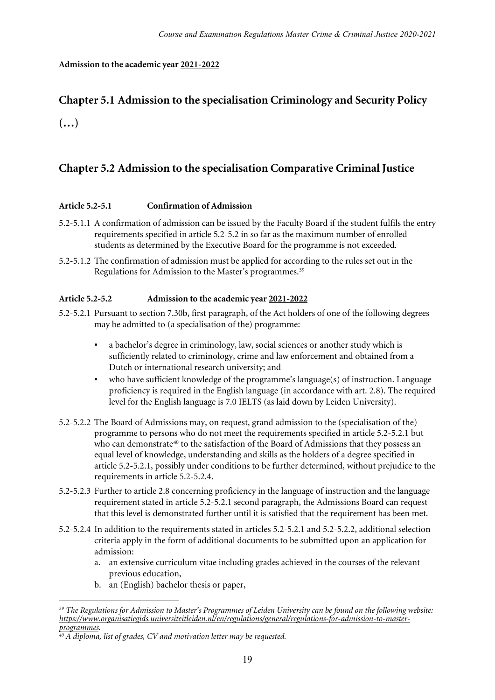#### **Admission to the academic year 2021-2022**

# **Chapter 5.1 Admission to the specialisation Criminology and Security Policy (…)**

### **Chapter 5.2 Admission to the specialisation Comparative Criminal Justice**

#### **Article 5.2-5.1 Confirmation of Admission**

- 5.2-5.1.1 A confirmation of admission can be issued by the Faculty Board if the student fulfils the entry requirements specified in article 5.2-5.2 in so far as the maximum number of enrolled students as determined by the Executive Board for the programme is not exceeded.
- 5.2-5.1.2 The confirmation of admission must be applied for according to the rules set out in the Regulations for Admission to the Master's programmes.<sup>[39](#page-18-0)</sup>

#### **Article 5.2-5.2 Admission to the academic year 2021-2022**

- 5.2-5.2.1 Pursuant to section 7.30b, first paragraph, of the Act holders of one of the following degrees may be admitted to (a specialisation of the) programme:
	- a bachelor's degree in criminology, law, social sciences or another study which is sufficiently related to criminology, crime and law enforcement and obtained from a Dutch or international research university; and
	- who have sufficient knowledge of the programme's language(s) of instruction. Language proficiency is required in the English language (in accordance with art. 2.8). The required level for the English language is 7.0 IELTS (as laid down by Leiden University).
- 5.2-5.2.2 The Board of Admissions may, on request, grand admission to the (specialisation of the) programme to persons who do not meet the requirements specified in article 5.2-5.2.1 but who can demonstrate<sup>[40](#page-18-1)</sup> to the satisfaction of the Board of Admissions that they possess an equal level of knowledge, understanding and skills as the holders of a degree specified in article 5.2-5.2.1, possibly under conditions to be further determined, without prejudice to the requirements in article 5.2-5.2.4.
- 5.2-5.2.3 Further to article 2.8 concerning proficiency in the language of instruction and the language requirement stated in article 5.2-5.2.1 second paragraph, the Admissions Board can request that this level is demonstrated further until it is satisfied that the requirement has been met.
- 5.2-5.2.4 In addition to the requirements stated in articles 5.2-5.2.1 and 5.2-5.2.2, additional selection criteria apply in the form of additional documents to be submitted upon an application for admission:
	- a. an extensive curriculum vitae including grades achieved in the courses of the relevant previous education,
	- b. an (English) bachelor thesis or paper,

<span id="page-18-0"></span><sup>1</sup> *<sup>39</sup> The Regulations for Admission to Master's Programmes of Leiden University can be found on the following website: [https://www.organisatiegids.universiteitleiden.nl/en/regulations/general/regulations-for-admission-to-master](https://www.organisatiegids.universiteitleiden.nl/en/regulations/general/regulations-for-admission-to-master-programmes)[programmes.](https://www.organisatiegids.universiteitleiden.nl/en/regulations/general/regulations-for-admission-to-master-programmes)*

<span id="page-18-1"></span>*<sup>40</sup> A diploma, list of grades, CV and motivation letter may be requested.*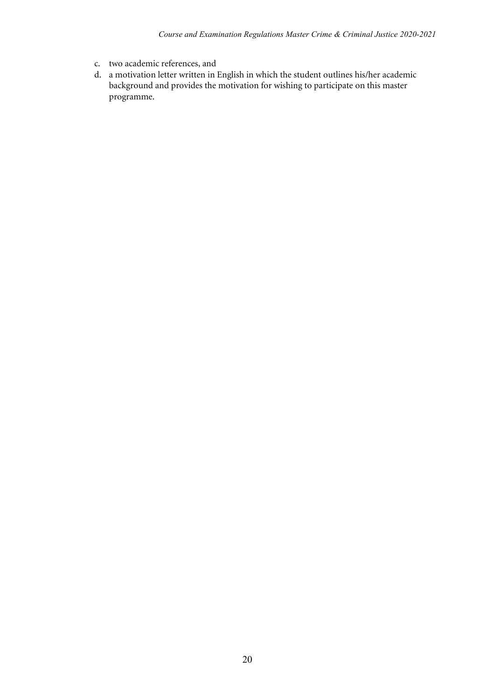- c. two academic references, and
- d. a motivation letter written in English in which the student outlines his/her academic background and provides the motivation for wishing to participate on this master programme.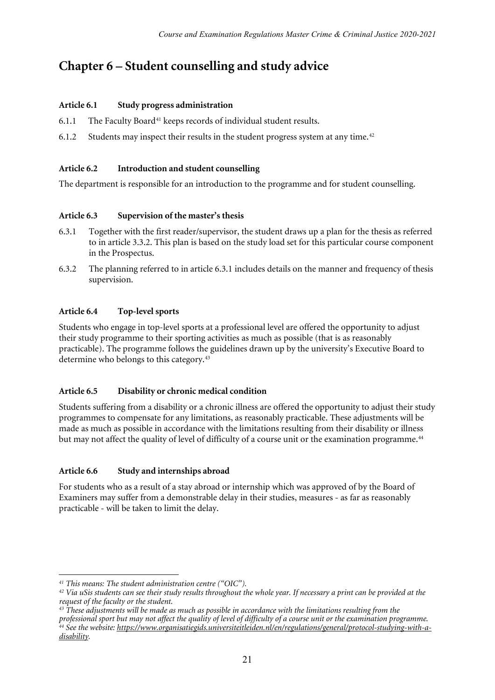# **Chapter 6 – Student counselling and study advice**

#### **Article 6.1 Study progress administration**

- $6.1.1$  The Faculty Board<sup>[41](#page-20-0)</sup> keeps records of individual student results.
- 6.1.2 Students may inspect their results in the student progress system at any time.<sup>[42](#page-20-1)</sup>

#### **Article 6.2 Introduction and student counselling**

The department is responsible for an introduction to the programme and for student counselling.

#### **Article 6.3 Supervision of the master's thesis**

- 6.3.1 Together with the first reader/supervisor, the student draws up a plan for the thesis as referred to in article 3.3.2. This plan is based on the study load set for this particular course component in the Prospectus.
- 6.3.2 The planning referred to in article 6.3.1 includes details on the manner and frequency of thesis supervision.

### **Article 6.4 Top-level sports**

Students who engage in top-level sports at a professional level are offered the opportunity to adjust their study programme to their sporting activities as much as possible (that is as reasonably practicable). The programme follows the guidelines drawn up by the university's Executive Board to determine who belongs to this category.[43](#page-20-2)

#### **Article 6.5 Disability or chronic medical condition**

Students suffering from a disability or a chronic illness are offered the opportunity to adjust their study programmes to compensate for any limitations, as reasonably practicable. These adjustments will be made as much as possible in accordance with the limitations resulting from their disability or illness but may not affect the quality of level of difficulty of a course unit or the examination programme.<sup>[44](#page-20-3)</sup>

### **Article 6.6 Study and internships abroad**

For students who as a result of a stay abroad or internship which was approved of by the Board of Examiners may suffer from a demonstrable delay in their studies, measures - as far as reasonably practicable - will be taken to limit the delay.

 $\overline{a}$ *<sup>41</sup> This means: The student administration centre ("OIC").*

<span id="page-20-1"></span><span id="page-20-0"></span>*<sup>42</sup> Via uSis students can see their study results throughout the whole year. If necessary a print can be provided at the request of the faculty or the student.*

<span id="page-20-3"></span><span id="page-20-2"></span>*<sup>43</sup> These adjustments will be made as much as possible in accordance with the limitations resulting from the professional sport but may not affect the quality of level of difficulty of a course unit or the examination programme. <sup>44</sup> See the website: [https://www.organisatiegids.universiteitleiden.nl/en/regulations/general/protocol-studying-with-a](https://www.organisatiegids.universiteitleiden.nl/en/regulations/general/protocol-studying-with-a-disability)[disability.](https://www.organisatiegids.universiteitleiden.nl/en/regulations/general/protocol-studying-with-a-disability)*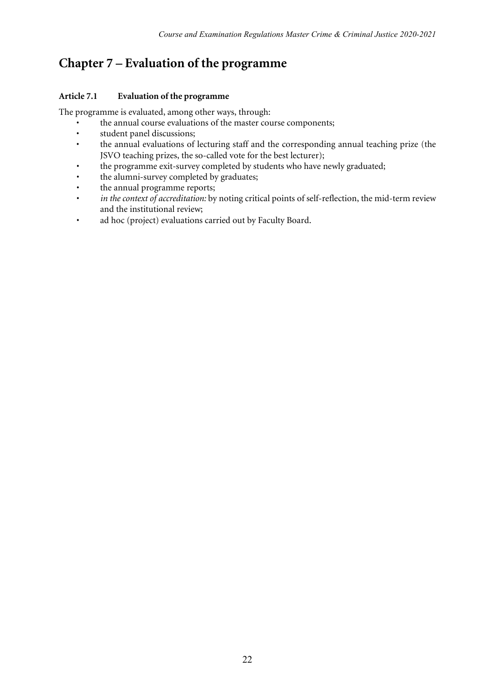# **Chapter 7 – Evaluation of the programme**

### **Article 7.1 Evaluation of the programme**

The programme is evaluated, among other ways, through:

- the annual course evaluations of the master course components;<br>• student panel discussions:
- student panel discussions;
- the annual evaluations of lecturing staff and the corresponding annual teaching prize (the JSVO teaching prizes, the so-called vote for the best lecturer);
- the programme exit-survey completed by students who have newly graduated;
- the alumni-survey completed by graduates;
- the annual programme reports;
- *in the context of accreditation:* by noting critical points of self-reflection, the mid-term review and the institutional review;
- ad hoc (project) evaluations carried out by Faculty Board.